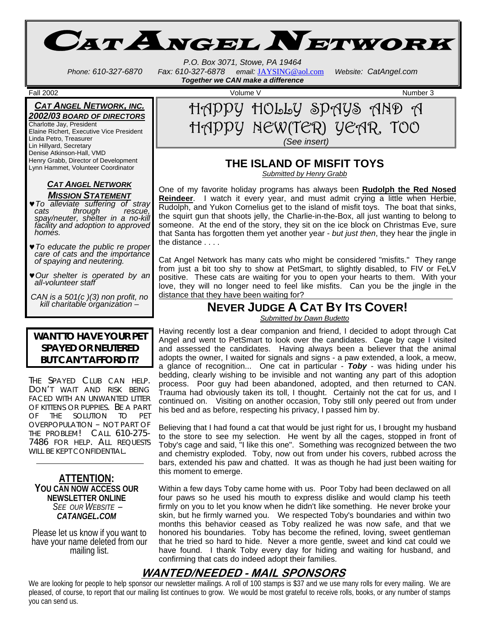CAT ANGEL NETWORK

*P.O. Box 3071, Stowe, PA 19464 Phone: 610-327-6870 Fax: 610-327-6878 email:* JAYSING@aol.com *Website: CatAngel.com Together we CAN make a difference* 

#### *CAT ANGEL NETWORK, INC. 2002/03 BOARD OF DIRECTORS*

Charlotte Jay, President Elaine Richert, Executive Vice President Linda Petro, Treasurer Lin Hillyard, Secretary Denise Atkinson-Hall, VMD Henry Grabb, Director of Development Lynn Hammet, Volunteer Coordinator

#### *CAT ANGEL NETWORK MISSION STATEMENT*

♥*To alleviate suffering of stray cats through rescue, spay/neuter, shelter in a no-kill facility and adoption to approved homes.* 

- ♥*To educate the public re proper care of cats and the importance of spaying and neutering.*
- ♥*Our shelter is operated by an all-volunteer staff*

*CAN is a 501(c )(3) non profit, no kill charitable organization* –

#### **WANT TO HAVE YOUR PET SPAYED OR NEUTERED BUT CAN'T AFFORD IT?**

The Spayed Club can help.<br>Don't wait and risk being FACED WITH AN UNWANTED LITTER OF KITTENS OR PUPPIES. BE A PART OF THE SOLUTION TO PET OVERPOPULATION – NOT PART OF THE PROBLEM! CALL 610-275- 7486 FOR HELP. ALL REQUESTS WILL BE KEPT CONFIDENTIAL.

## **ATTENTION: YOU CAN NOW ACCESS OUR NEWSLETTER ONLINE** *SEE OUR WEBSITE – CATANGEL.COM*

Please let us know if you want to have your name deleted from our mailing list.



# **THE ISLAND OF MISFIT TOYS**

*Submitted by Henry Grabb*

One of my favorite holiday programs has always been **Rudolph the Red Nosed Reindeer**. I watch it every year, and must admit crying a little when Herbie, Rudolph, and Yukon Cornelius get to the island of misfit toys. The boat that sinks, the squirt gun that shoots jelly, the Charlie-in-the-Box, all just wanting to belong to someone. At the end of the story, they sit on the ice block on Christmas Eve, sure that Santa has forgotten them yet another year - *but just then*, they hear the jingle in the distance . . . .

Cat Angel Network has many cats who might be considered "misfits." They range from just a bit too shy to show at PetSmart, to slightly disabled, to FIV or FeLV positive. These cats are waiting for you to open your hearts to them. With your love, they will no longer need to feel like misfits. Can you be the jingle in the distance that they have been waiting for?

# **NEVER JUDGE A CAT BY ITS COVER!**

*Submitted by Dawn Budetto*

Having recently lost a dear companion and friend, I decided to adopt through Cat Angel and went to PetSmart to look over the candidates. Cage by cage I visited and assessed the candidates. Having always been a believer that the animal adopts the owner, I waited for signals and signs - a paw extended, a look, a meow, a glance of recognition... One cat in particular - *Toby* - was hiding under his bedding, clearly wishing to be invisible and not wanting any part of this adoption process. Poor guy had been abandoned, adopted, and then returned to CAN. Trauma had obviously taken its toll, I thought. Certainly not the cat for us, and I continued on. Visiting on another occasion, Toby still only peered out from under his bed and as before, respecting his privacy, I passed him by.

Believing that I had found a cat that would be just right for us, I brought my husband to the store to see my selection. He went by all the cages, stopped in front of Toby's cage and said, "I like this one". Something was recognized between the two and chemistry exploded. Toby, now out from under his covers, rubbed across the bars, extended his paw and chatted. It was as though he had just been waiting for this moment to emerge.

Within a few days Toby came home with us. Poor Toby had been declawed on all four paws so he used his mouth to express dislike and would clamp his teeth firmly on you to let you know when he didn't like something. He never broke your skin, but he firmly warned you. We respected Toby's boundaries and within two months this behavior ceased as Toby realized he was now safe, and that we honored his boundaries. Toby has become the refined, loving, sweet gentleman that he tried so hard to hide. Never a more gentle, sweet and kind cat could we have found. I thank Toby every day for hiding and waiting for husband, and confirming that cats do indeed adopt their families.

# **WANTED/NEEDED - MAIL SPONSORS**

We are looking for people to help sponsor our newsletter mailings. A roll of 100 stamps is \$37 and we use many rolls for every mailing. We are pleased, of course, to report that our mailing list continues to grow. We would be most grateful to receive rolls, books, or any number of stamps you can send us.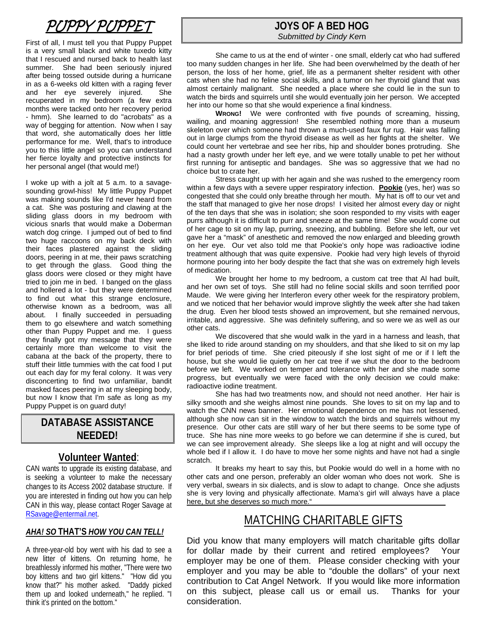# PUPPY PUPPET

First of all, I must tell you that Puppy Puppet is a very small black and white tuxedo kitty that I rescued and nursed back to health last summer. She had been seriously injured after being tossed outside during a hurricane in as a 6-weeks old kitten with a raging fever and her eye severely injured. She recuperated in my bedroom (a few extra months were tacked onto her recovery period - hmm). She learned to do "acrobats" as a way of begging for attention. Now when I say that word, she automatically does her little performance for me. Well, that's to introduce you to this little angel so you can understand her fierce loyalty and protective instincts for her personal angel (that would me!)

I woke up with a jolt at 5 a.m. to a savagesounding growl-hiss! My little Puppy Puppet was making sounds like I'd never heard from a cat. She was posturing and clawing at the sliding glass doors in my bedroom with vicious snarls that would make a Doberman watch dog cringe. I jumped out of bed to find two huge raccoons on my back deck with their faces plastered against the sliding doors, peering in at me, their paws scratching to get through the glass. Good thing the glass doors were closed or they might have tried to join me in bed. I banged on the glass and hollered a lot - but they were determined to find out what this strange enclosure, otherwise known as a bedroom, was all about. I finally succeeded in persuading them to go elsewhere and watch something other than Puppy Puppet and me. I guess they finally got my message that they were certainly more than welcome to visit the cabana at the back of the property, there to stuff their little tummies with the cat food I put out each day for my feral colony. It was very disconcerting to find two unfamiliar, bandit masked faces peering in at my sleeping body, but now I know that I'm safe as long as my Puppy Puppet is on guard duty!

# **DATABASE ASSISTANCE NEEDED!**

## **Volunteer Wanted**:

CAN wants to upgrade its existing database, and is seeking a volunteer to make the necessary changes to its Access 2002 database structure. If you are interested in finding out how you can help CAN in this way, please contact Roger Savage at RSavage@entermail.net.

#### *AHA! SO* **THAT'S** *HOW YOU CAN TELL!*

A three-year-old boy went with his dad to see a new litter of kittens. On returning home, he breathlessly informed his mother, "There were two boy kittens and two girl kittens." "How did you know that?" his mother asked. "Daddy picked them up and looked underneath," he replied. "I think it's printed on the bottom."

### **JOYS OF A BED HOG** *Submitted by Cindy Ker*n

 She came to us at the end of winter - one small, elderly cat who had suffered too many sudden changes in her life. She had been overwhelmed by the death of her person, the loss of her home, grief, life as a permanent shelter resident with other cats when she had no feline social skills, and a tumor on her thyroid gland that was almost certainly malignant. She needed a place where she could lie in the sun to watch the birds and squirrels until she would eventually join her person. We accepted her into our home so that she would experience a final kindness.

**WRONG!** We were confronted with five pounds of screaming, hissing, wailing, and moaning aggression! She resembled nothing more than a museum skeleton over which someone had thrown a much-used faux fur rug. Hair was falling out in large clumps from the thyroid disease as well as her fights at the shelter. We could count her vertebrae and see her ribs, hip and shoulder bones protruding. She had a nasty growth under her left eye, and we were totally unable to pet her without first running for antiseptic and bandages. She was so aggressive that we had no choice but to crate her.

 Stress caught up with her again and she was rushed to the emergency room within a few days with a severe upper respiratory infection. **Pookie** (yes, her) was so congested that she could only breathe through her mouth. My hat is off to our vet and the staff that managed to give her nose drops! I visited her almost every day or night of the ten days that she was in isolation; she soon responded to my visits with eager purrs although it is difficult to purr and sneeze at the same time! She would come out of her cage to sit on my lap, purring, sneezing, and bubbling. Before she left, our vet gave her a "mask" of anesthetic and removed the now enlarged and bleeding growth on her eye. Our vet also told me that Pookie's only hope was radioactive iodine treatment although that was quite expensive. Pookie had very high levels of thyroid hormone pouring into her body despite the fact that she was on extremely high levels of medication.

 We brought her home to my bedroom, a custom cat tree that Al had built, and her own set of toys. She still had no feline social skills and soon terrified poor Maude. We were giving her Interferon every other week for the respiratory problem, and we noticed that her behavior would improve slightly the week after she had taken the drug. Even her blood tests showed an improvement, but she remained nervous, irritable, and aggressive. She was definitely suffering, and so were we as well as our other cats.

 We discovered that she would walk in the yard in a harness and leash, that she liked to ride around standing on my shoulders, and that she liked to sit on my lap for brief periods of time. She cried piteously if she lost sight of me or if I left the house, but she would lie quietly on her cat tree if we shut the door to the bedroom before we left. We worked on temper and tolerance with her and she made some progress, but eventually we were faced with the only decision we could make: radioactive iodine treatment.

 She has had two treatments now, and should not need another. Her hair is silky smooth and she weighs almost nine pounds. She loves to sit on my lap and to watch the CNN news banner. Her emotional dependence on me has not lessened, although she now can sit in the window to watch the birds and squirrels without my presence. Our other cats are still wary of her but there seems to be some type of truce. She has nine more weeks to go before we can determine if she is cured, but we can see improvement already. She sleeps like a log at night and will occupy the whole bed if I allow it. I do have to move her some nights and have not had a single scratch.

 It breaks my heart to say this, but Pookie would do well in a home with no other cats and one person, preferably an older woman who does not work. She is very verbal, swears in six dialects, and is slow to adapt to change. Once she adjusts she is very loving and physically affectionate. Mama's girl will always have a place here, but she deserves so much more."

# MATCHING CHARITABLE GIFTS

Did you know that many employers will match charitable gifts dollar for dollar made by their current and retired employees? Your employer may be one of them. Please consider checking with your employer and you may be able to "double the dollars" of your next contribution to Cat Angel Network. If you would like more information on this subject, please call us or email us. Thanks for your consideration.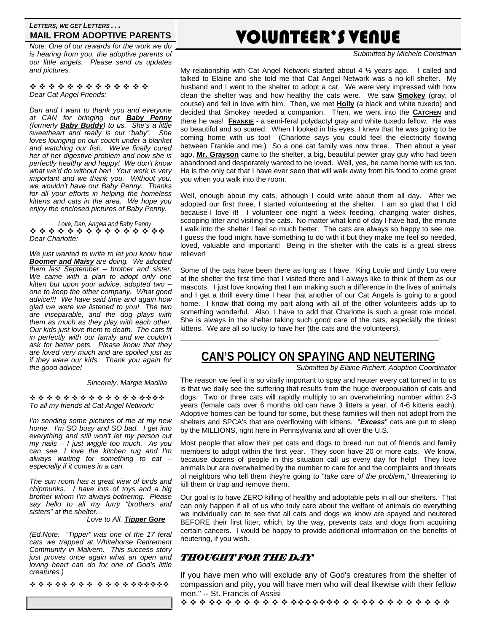#### *LETTERS, WE GET LETTERS . . .* **MAIL FROM ADOPTIVE PARENTS**

*Note: One of our rewards for the work we do is hearing from you, the adoptive parents of our little angels. Please send us updates and pictures.* 

\*\*\*\*\*\*\*\*\*\*\*\*\* *Dear Cat Angel Friends:* 

*Dan and I want to thank you and everyone at CAN for bringing our Baby Penny (formerly Baby Buddy) to us. She's a little sweetheart and really is our "baby". She loves lounging on our couch under a blanket and watching our fish. We've finally cured her of her digestive problem and now she is perfectly healthy and happy! We don't know what we'd do without her! Your work is very important and we thank you. Without you, we wouldn't have our Baby Penny. Thanks for all your efforts in helping the homeless kittens and cats in the area. We hope you enjoy the enclosed pictures of Baby Penny.* 

*Love, Dan, Angela and Baby Penny*  \* \* \* \* \* \* \* \* \* \* \* \* \* \* \* \* *Dear Charlotte:* 

*We just wanted to write to let you know how Boomer and Maisy are doing. We adopted them last September – brother and sister. We came with a plan to adopt only one kitten but upon your advice, adopted two – one to keep the other company. What good advice!!! We have said time and again how glad we were we listened to you! The two are inseparable, and the dog plays with them as much as they play with each other. Our kids just love them to death. The cats fit in perfectly with our family and we couldn't ask for better pets. Please know that they are loved very much and are spoiled just as if they were our kids. Thank you again for the good advice!* 

 *Sincerely, Margie Madilia* 

\*\*\*\*\*\*\*\*\*\*\*\*\*\*\*\*\* *To all my friends at Cat Angel Network:* 

*I'm sending some pictures of me at my new home. I'm SO busy and SO bad. I get into everything and still won't let my person cut my nails – I just wiggle too much. As you can see, I love the kitchen rug and I'm always waiting for something to eat – especially if it comes in a can.* 

*The sun room has a great view of birds and chipmunks. I have lots of toys and a big brother whom I'm always bothering. Please say hello to all my furry "brothers and sisters" at the shelter.* 

#### *Love to All, Tipper Gore*

*(Ed.Note: "Tipper" was one of the 17 feral cats we trapped at Whitehorse Retirement Community in Malvern. This success story just proves once again what an open and loving heart can do for one of God's little creatures.)* 

\*\*\*\*\*\*\*\*\*\*\*\*\*\*\*\*\*\*

# VOLUNTEER'S VENUE

*Submitted by Michele Christman* 

My relationship with Cat Angel Network started about 4 ½ years ago. I called and talked to Elaine and she told me that Cat Angel Network was a no-kill shelter. My husband and I went to the shelter to adopt a cat. We were very impressed with how clean the shelter was and how healthy the cats were. We saw **Smokey** (gray, of course) and fell in love with him. Then, we met **Holly** (a black and white tuxedo) and decided that Smokey needed a companion. Then, we went into the **CATCHEN** and there he was! **FRANKIE** - a semi-feral polydactyl gray and white tuxedo fellow. He was so beautiful and so scared. When I looked in his eyes, I knew that he was going to be coming home with us too! (Charlotte says you could feel the electricity flowing between Frankie and me.) So a one cat family was now three. Then about a year ago, **Mr. Grayson** came to the shelter, a big, beautiful pewter gray guy who had been abandoned and desperately wanted to be loved. Well, yes, he came home with us too. He is the only cat that I have ever seen that will walk away from his food to come greet you when you walk into the room.

Well, enough about my cats, although I could write about them all day. After we adopted our first three, I started volunteering at the shelter. I am so glad that I did because-I love it! I volunteer one night a week feeding, changing water dishes, scooping litter and visiting the cats. No matter what kind of day I have had, the minute I walk into the shelter I feel so much better. The cats are always so happy to see me. I guess the food might have something to do with it but they make me feel so needed, loved, valuable and important! Being in the shelter with the cats is a great stress reliever!

Some of the cats have been there as long as I have. King Louie and Lindy Lou were at the shelter the first time that I visited there and I always like to think of them as our mascots. I just love knowing that I am making such a difference in the lives of animals and I get a thrill every time I hear that another of our Cat Angels is going to a good home. I know that doing my part along with all of the other volunteers adds up to something wonderful. Also, I have to add that Charlotte is such a great role model. She is always in the shelter taking such good care of the cats, especially the tiniest kittens. We are all so lucky to have her (the cats and the volunteers).

# **CAN'S POLICY ON SPAYING AND NEUTERING**

<u>. Andre Sterne and Sterne and Sterne and Sterne and Sterne and Sterne and Sterne and Sterne and Sterne and St</u>

*Submitted by Elaine Richert, Adoption Coordinator* 

The reason we feel it is so vitally important to spay and neuter every cat turned in to us is that we daily see the suffering that results from the huge overpopulation of cats and dogs. Two or three cats will rapidly multiply to an overwhelming number within 2-3 years (female cats over 6 months old can have 3 litters a year, of 4-6 kittens each). Adoptive homes can be found for some, but these families will then not adopt from the shelters and SPCA's that are overflowing with kittens. "*Excess*" cats are put to sleep by the MILLIONS, right here in Pennsylvania and all over the U.S.

Most people that allow their pet cats and dogs to breed run out of friends and family members to adopt within the first year. They soon have 20 or more cats. We know, because dozens of people in this situation call us every day for help! They love animals but are overwhelmed by the number to care for and the complaints and threats of neighbors who tell them they're going to "*take care of the problem*," threatening to kill them or trap and remove them.

Our goal is to have ZERO killing of healthy and adoptable pets in all our shelters. That can only happen if all of us who truly care about the welfare of animals do everything we individually can to see that all cats and dogs we know are spayed and neutered BEFORE their first litter, which, by the way, prevents cats and dogs from acquiring certain cancers. I would be happy to provide additional information on the benefits of neutering, if you wish.

## *THOUGHT FOR THE DAY*

If you have men who will exclude any of God's creatures from the shelter of compassion and pity, you will have men who will deal likewise with their fellow men." -- St. Francis of Assisi

\*\*\*\*\*\*\*\*\*\*\*\*\*\*\*\*\*\*\*\*\*\*\*\*\*\*\*\*\*\*\*\*